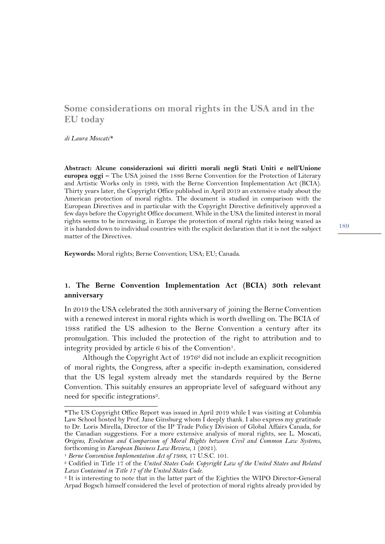## **Some considerations on moral rights in the USA and in the EU today**

*di Laura Moscati\**

**Abstract: Alcune considerazioni sui diritti morali negli Stati Uniti e nell'Unione europea oggi –** The USA joined the 1886 Berne Convention for the Protection of Literary and Artistic Works only in 1989, with the Berne Convention Implementation Act (BCIA). Thirty years later, the Copyright Office published in April 2019 an extensive study about the American protection of moral rights. The document is studied in comparison with the European Directives and in particular with the Copyright Directive definitively approved a few days before the Copyright Office document. While in the USA the limited interest in moral rights seems to be increasing, in Europe the protection of moral rights risks being waned as it is handed down to individual countries with the explicit declaration that it is not the subject matter of the Directives.

**Keywords:** Moral rights; Berne Convention; USA; EU; Canada.

## **1. The Berne Convention Implementation Act (BCIA) 30th relevant anniversary**

In 2019 the USA celebrated the 30th anniversary of joining the Berne Convention with a renewed interest in moral rights which is worth dwelling on. The BCIA of 1988 ratified the US adhesion to the Berne Convention a century after its promulgation. This included the protection of the right to attribution and to integrity provided by article  $6$  bis of the Convention<sup>1</sup>.

Although the Copyright Act of  $1976<sup>2</sup>$  did not include an explicit recognition of moral rights, the Congress, after a specific in-depth examination, considered that the US legal system already met the standards required by the Berne Convention. This suitably ensures an appropriate level of safeguard without any need for specific integrations<sup>3</sup>.

<sup>\*</sup>The US Copyright Office Report was issued in April 2019 while I was visiting at Columbia Law School hosted by Prof. Jane Ginsburg whom I deeply thank. I also express my gratitude to Dr. Loris Mirella, Director of the IP Trade Policy Division of Global Affairs Canada, for the Canadian suggestions. For a more extensive analysis of moral rights, see L. Moscati, *Origins, Evolution and Comparison of Moral Rights between Civil and Common Law Systems*,

<sup>&</sup>lt;sup>1</sup> Berne Convention Implementation Act of 1988, 17 U.S.C. 101.

<sup>2</sup> Codified in Title 17 of the *United States Code*: *Copyright Law of the United States and Related Laws Contained in Tıtle 17 of the United States Code*.

<sup>3</sup> It is interesting to note that in the latter part of the Eighties the WIPO Director-General Arpad Bogsch himself considered the level of protection of moral rights already provided by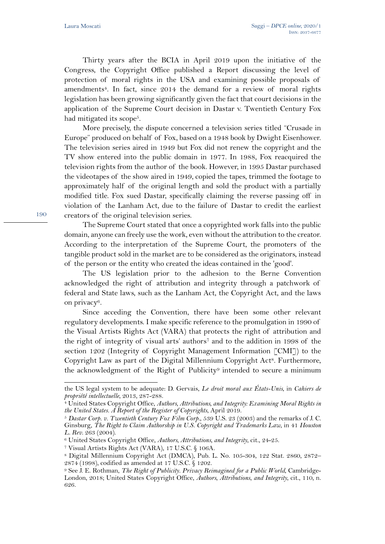Thirty years after the BCIA in April 2019 upon the initiative of the Congress, the Copyright Office published a Report discussing the level of protection of moral rights in the USA and examining possible proposals of amendments<sup>4</sup>. In fact, since 2014 the demand for a review of moral rights legislation has been growing significantly given the fact that court decisions in the application of the Supreme Court decision in Dastar v. Twentieth Century Fox had mitigated its scope<sup>5</sup>.

More precisely, the dispute concerned a television series titled "Crusade in Europe" produced on behalf of Fox, based on a 1948 book by Dwight Eisenhower. The television series aired in 1949 but Fox did not renew the copyright and the TV show entered into the public domain in 1977. In 1988, Fox reacquired the television rights from the author of the book. However, in 1995 Dastar purchased the videotapes of the show aired in 1949, copied the tapes, trimmed the footage to approximately half of the original length and sold the product with a partially modified title. Fox sued Dastar, specifically claiming the reverse passing off in violation of the Lanham Act, due to the failure of Dastar to credit the earliest creators of the original television series.

The Supreme Court stated that once a copyrighted work falls into the public domain, anyone can freely use the work, even without the attribution to the creator. According to the interpretation of the Supreme Court, the promoters of the tangible product sold in the market are to be considered as the originators, instead of the person or the entity who created the ideas contained in the 'good'.

The US legislation prior to the adhesion to the Berne Convention acknowledged the right of attribution and integrity through a patchwork of federal and State laws, such as the Lanham Act, the Copyright Act, and the laws on privacy6.

Since acceding the Convention, there have been some other relevant regulatory developments. I make specific reference to the promulgation in 1990 of the Visual Artists Rights Act (VARA) that protects the right of attribution and the right of integrity of visual arts' authors<sup>7</sup> and to the addition in 1998 of the section 1202 (Integrity of Copyright Management Information [CMI]) to the Copyright Law as part of the Digital Millennium Copyright Act<sup>8</sup>. Furthermore, the acknowledgment of the Right of Publicity<sup>9</sup> intended to secure a minimum

the US legal system to be adequate: D. Gervais, *Le droit moral aux États-Unis*, in *Cahiers de* 

<sup>&</sup>lt;sup>4</sup> United States Copyright Office, *Authors, Attributions, and Integrity: Examining Moral Rights in the United States. A Report of the Register of Copyrights*, April 2019.<br><sup>5</sup> *Dastar Corp. v. Twentieth Century Fox Film Corp.*, 539 U.S. 23 (2003) and the remarks of J. C.

Ginsburg, *The Right to Claim Authorship in U.S. Copyright and Trademarks Law*, in 41 *Houston L. Rev.* 263 (2004). *6 United States Copyright Office, <i>Authors, Attributions, and Integrity*, cit., 24–25.

<sup>7</sup> Visual Artists Rights Act (VARA), 17 U.S.C. § 106A.

<sup>8</sup> Digital Millennium Copyright Act (DMCA), Pub. L. No. 105-304, 122 Stat. 2860, 2872– 2874 (1998), codified as amended at 17 U.S.C. § 1202.

<sup>9</sup> See J. E. Rothman, *The Right of Publicity. Privacy Reimagined for a Public World*, Cambridge-London, 2018; United States Copyright Office, *Authors*, *Attributions*, *and Integrity*, cit., 110, n. 626.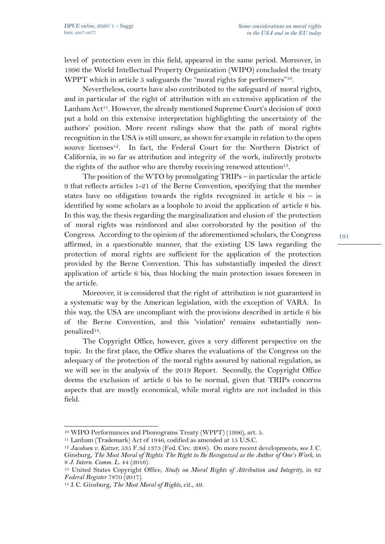level of protection even in this field, appeared in the same period. Moreover, in 1996 the World Intellectual Property Organization (WIPO) concluded the treaty WPPT which in article 5 safeguards the "moral rights for performers"<sup>10</sup>.

Nevertheless, courts have also contributed to the safeguard of moral rights, and in particular of the right of attribution with an extensive application of the Lanham Act<sup>11</sup>. However, the already mentioned Supreme Court's decision of 2003 put a hold on this extensive interpretation highlighting the uncertainty of the authors' position. More recent rulings show that the path of moral rights recognition in the USA is still unsure, as shown for example in relation to the open source licenses<sup>12</sup>. In fact, the Federal Court for the Northern District of California, in so far as attribution and integrity of the work, indirectly protects the rights of the author who are thereby receiving renewed attention<sup>13</sup>.

The position of the WTO by promulgating TRIPs – in particular the article 9 that reflects articles 1-21 of the Berne Convention, specifying that the member states have no obligation towards the rights recognized in article  $6$  bis – is identified by some scholars as a loophole to avoid the application of article 6 bis. In this way, the thesis regarding the marginalization and elusion of the protection of moral rights was reinforced and also corroborated by the position of the Congress. According to the opinion of the aforementioned scholars, the Congress affirmed, in a questionable manner, that the existing US laws regarding the protection of moral rights are sufficient for the application of the protection provided by the Berne Convention. This has substantially impeded the direct application of article 6 bis, thus blocking the main protection issues foreseen in the article.

Moreover, it is considered that the right of attribution is not guaranteed in a systematic way by the American legislation, with the exception of VARA. In this way, the USA are uncompliant with the provisions described in article 6 bis of the Berne Convention, and this 'violation' remains substantially nonpenalized14.

The Copyright Office, however, gives a very different perspective on the topic. In the first place, the Office shares the evaluations of the Congress on the adequacy of the protection of the moral rights assured by national regulation, as we will see in the analysis of the 2019 Report. Secondly, the Copyright Office deems the exclusion of article 6 bis to be normal, given that TRIPs concerns aspects that are mostly economical, while moral rights are not included in this field.

<sup>10</sup> WIPO Performances and Phonograms Treaty (WPPT) (1996), art. 5.

<sup>11</sup> Lanham (Trademark) Act of 1946, codified as amended at 15 U.S.C.

<sup>12</sup> *Jacobsen v. Katzer*, 535 F.3d 1373 (Fed. Circ. 2008). On more recent developments, see J. C. Ginsburg, *The Most Moral of Rights: The Right to Be Recognized as the Author of One's Work*, in 8 *J. Intern. Comm. L.* 44 (2016).

<sup>&</sup>lt;sup>13</sup> United States Copyright Office, *Study on Moral Rights of Attribution and Integrity*, in 82<br>Federal Register 7870 (2017).

<sup>&</sup>lt;sup>14</sup> J. C. Ginsburg, *The Most Moral of Rights*, cit., 49.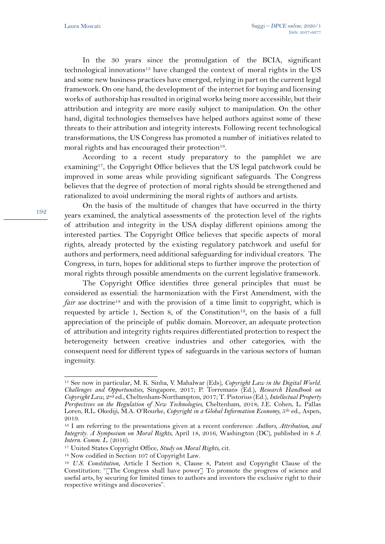In the 30 years since the promulgation of the BCIA, significant technological innovations15 have changed the context of moral rights in the US and some new business practices have emerged, relying in part on the current legal framework. On one hand, the development of the internet for buying and licensing works of authorship has resulted in original works being more accessible, but their attribution and integrity are more easily subject to manipulation. On the other hand, digital technologies themselves have helped authors against some of these threats to their attribution and integrity interests. Following recent technological transformations, the US Congress has promoted a number of initiatives related to moral rights and has encouraged their protection<sup>16</sup>.

According to a recent study preparatory to the pamphlet we are examining17, the Copyright Office believes that the US legal patchwork could be improved in some areas while providing significant safeguards. The Congress believes that the degree of protection of moral rights should be strengthened and rationalized to avoid undermining the moral rights of authors and artists.

On the basis of the multitude of changes that have occurred in the thirty years examined, the analytical assessments of the protection level of the rights of attribution and integrity in the USA display different opinions among the interested parties. The Copyright Office believes that specific aspects of moral rights, already protected by the existing regulatory patchwork and useful for authors and performers, need additional safeguarding for individual creators. The Congress, in turn, hopes for additional steps to further improve the protection of moral rights through possible amendments on the current legislative framework.

The Copyright Office identifies three general principles that must be considered as essential: the harmonization with the First Amendment, with the *fair use* doctrine<sup>18</sup> and with the provision of a time limit to copyright, which is requested by article 1, Section 8, of the Constitution<sup>19</sup>, on the basis of a full appreciation of the principle of public domain. Moreover, an adequate protection of attribution and integrity rights requires differentiated protection to respect the heterogeneity between creative industries and other categories, with the consequent need for different types of safeguards in the various sectors of human ingenuity.

<sup>15</sup> See now in particular, M. K. Sinha, V. Mahalwar (Eds), *Copyright Law in the Digital World. Challenges and Opportunities*, Singapore, 2017; P. Torremans (Ed.), *Research Handbook on Copyright Law*, 2nd ed., Cheltenham-Northampton, 2017; T. Pistorius(Ed.), *Intellectual Property Perspectives on the Regulation of New Technologies*, Cheltenham, 2018; J.E. Cohen, L. Pallas Loren, R.L. Okediji, M.A. O'Rourke, *Copyright in a Global Information Economy,* 5th ed., Aspen, 2019.

<sup>16</sup> I am referring to the presentations given at a recent conference: *Authors, Attribution, and Integrity. A Symposium on Moral Rights*, April 18, 2016, Washington (DC), published in 8 *J. Intern. Comm. L.* (2016). 17 United States Copyright Office, *Study on Moral Rights*, cit.

<sup>18</sup> Now codified in Section 107 of Copyright Law. 19 *U.S. Constitution*, Article I Section 8, Clause 8, Patent and Copyright Clause of the Constitution: "[The Congress shall have power] To promote the progress of science and useful arts, by securing for limited times to authors and inventors the exclusive right to their respective writings and discoveries".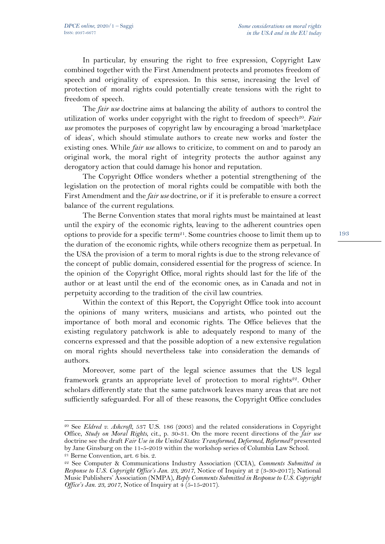In particular, by ensuring the right to free expression, Copyright Law combined together with the First Amendment protects and promotes freedom of speech and originality of expression. In this sense, increasing the level of protection of moral rights could potentially create tensions with the right to freedom of speech.

The *fair use* doctrine aims at balancing the ability of authors to control the utilization of works under copyright with the right to freedom of speech<sup>20</sup>. *Fair use* promotes the purposes of copyright law by encouraging a broad 'marketplace of ideas', which should stimulate authors to create new works and foster the existing ones. While *fair use* allows to criticize, to comment on and to parody an original work, the moral right of integrity protects the author against any derogatory action that could damage his honor and reputation.

The Copyright Office wonders whether a potential strengthening of the legislation on the protection of moral rights could be compatible with both the First Amendment and the *fair use* doctrine, or if it is preferable to ensure a correct balance of the current regulations.

The Berne Convention states that moral rights must be maintained at least until the expiry of the economic rights, leaving to the adherent countries open options to provide for a specific term<sup>21</sup>. Some countries choose to limit them up to the duration of the economic rights, while others recognize them as perpetual. In the USA the provision of a term to moral rights is due to the strong relevance of the concept of public domain, considered essential for the progress of science. In the opinion of the Copyright Office, moral rights should last for the life of the author or at least until the end of the economic ones, as in Canada and not in perpetuity according to the tradition of the civil law countries.

Within the context of this Report, the Copyright Office took into account the opinions of many writers, musicians and artists, who pointed out the importance of both moral and economic rights. The Office believes that the existing regulatory patchwork is able to adequately respond to many of the concerns expressed and that the possible adoption of a new extensive regulation on moral rights should nevertheless take into consideration the demands of authors.

Moreover, some part of the legal science assumes that the US legal framework grants an appropriate level of protection to moral rights<sup>22</sup>. Other scholars differently state that the same patchwork leaves many areas that are not sufficiently safeguarded. For all of these reasons, the Copyright Office concludes

<sup>20</sup> See *Eldred v. Ashcroft*, 537 U.S. 186 (2003) and the related considerations in Copyright Office, *Study on Moral Rights*, cit., p. 30-31. On the more recent directions of the *fair use* doctrine see the draft *Fair Use in the United States: Transformed, Deformed, Reformed?* presented by Jane Ginsburg on the 11-5-2019 within the workshop series of Columbia Law School. 21 Berne Convention, art. 6 bis. 2.

<sup>22</sup> See Computer & Communications Industry Association (CCIA), *Comments Submitted in Response to U.S. Copyright Office's Jan. 23, 2017*, Notice of Inquiry at 2 (3-30-2017); National Music Publishers' Association (NMPA), *Reply Comments Submitted in Response to U.S. Copyright Office's Jan. 23, 2017, Notice of Inquiry at 4 (5-15-2017).*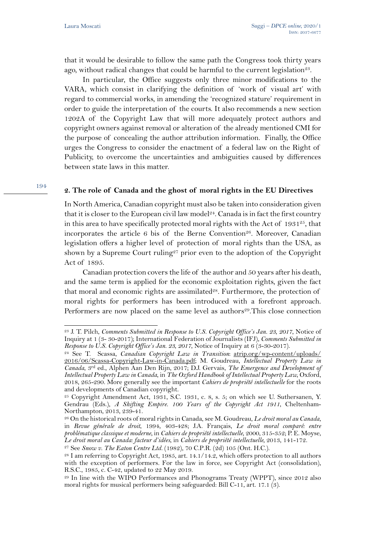that it would be desirable to follow the same path the Congress took thirty years ago, without radical changes that could be harmful to the current legislation<sup>23</sup>.

In particular, the Office suggests only three minor modifications to the VARA, which consist in clarifying the definition of 'work of visual art' with regard to commercial works, in amending the 'recognized stature' requirement in order to guide the interpretation of the courts. It also recommends a new section 1202A of the Copyright Law that will more adequately protect authors and copyright owners against removal or alteration of the already mentioned CMI for the purpose of concealing the author attribution information. Finally, the Office urges the Congress to consider the enactment of a federal law on the Right of Publicity, to overcome the uncertainties and ambiguities caused by differences between state laws in this matter.

## **2. The role of Canada and the ghost of moral rights in the EU Directives**

In North America, Canadian copyright must also be taken into consideration given that it is closer to the European civil law model<sup>24</sup>. Canada is in fact the first country in this area to have specifically protected moral rights with the Act of  $1931<sup>25</sup>$ , that incorporates the article 6 bis of the Berne Convention<sup>26</sup>. Moreover, Canadian legislation offers a higher level of protection of moral rights than the USA, as shown by a Supreme Court ruling<sup>27</sup> prior even to the adoption of the Copyright Act of 1895.

Canadian protection covers the life of the author and 50 years after his death, and the same term is applied for the economic exploitation rights, given the fact that moral and economic rights are assimilated<sup>28</sup>. Furthermore, the protection of moral rights for performers has been introduced with a forefront approach. Performers are now placed on the same level as authors<sup>29</sup>. This close connection

<sup>23</sup> J. T. Pilch, *Comments Submitted in Response to U.S. Copyright Office's Jan. 23, 2017*, Notice of Inquiry at 1 (3- 30-2017); International Federation of Journalists (IFJ), *Comments Submitted in Response to U.S. Copyright Office's Jan. 23, 2017*, Notice of Inquiry at 6 (3-30-2017).

<sup>24</sup> See T. Scassa, *Canadian Copyright Law in Transition*: atrip.org/wp-content/uploads/ 2016/06/Scassa-Copyright-Law-in-Canada.pdf; M. Goudreau, *Intellectual Property Law in Canada*, 3rd ed., Alphen Aan Den Rijn, 2017; D.J. Gervais, *The Emergence and Development of Intellectual Property Law in Canada*, in *The Oxford Handbook of Intellectual Property Law*, Oxford, 2018, 265-290. More generally see the important *Cahiers de propriété intellectuelle* for the roots and developments of Canadian copyright.

 $25$  Copyright Amendment Act, 1931, S.C. 1931, c. 8, s. 5; on which see U. Suthersanen, Y. Gendrau (Eds.), *A Shifting Empire. 100 Years of the Copyright Act 1911*, Cheltenham-Northampton, 2013, 239-41.

<sup>26</sup> On the historical roots of moral rights in Canada, see M. Goudreau, *Le droit moral au Canada*, in *Revue générale de droit*, 1994, 403-428; J.A. Français, *Le droit moral comparé: entre problématique classique et moderne*, in *Cahiers de propriété intellectuelle*, 2000, 315-352; P. E. Moyse, Le droit moral au Canada: facteur d'idées, in Cahiers de propriété intellectuelle, 2013, 141-172.<br><sup>27</sup> See Snow v. The Eaton Centre Ltd. (1982), 70 C.P.R. (2d) 105 (Ont. H.C.).<br><sup>28</sup> I am referring to Copyright Act, 1985, a

with the exception of performers. For the law in force, see Copyright Act (consolidation), R.S.C., 1985, c. C-42, updated to 22 May 2019.

<sup>29</sup> In line with the WIPO Performances and Phonograms Treaty (WPPT), since 2012 also moral rights for musical performers being safeguarded: Bill C-11, art. 17.1 (3).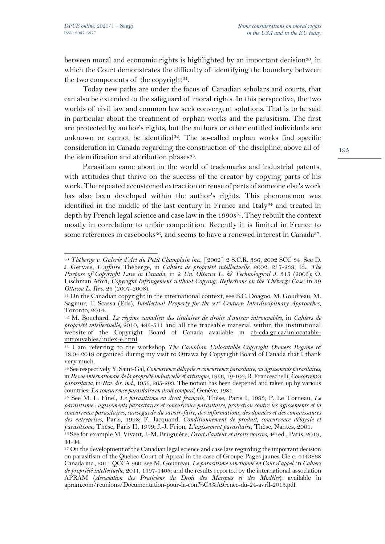between moral and economic rights is highlighted by an important decision<sup>30</sup>, in which the Court demonstrates the difficulty of identifying the boundary between the two components of the copyright $31$ .

Today new paths are under the focus of Canadian scholars and courts, that can also be extended to the safeguard of moral rights. In this perspective, the two worlds of civil law and common law seek convergent solutions. That is to be said in particular about the treatment of orphan works and the parasitism. The first are protected by author's rights, but the authors or other entitled individuals are unknown or cannot be identified<sup>32</sup>. The so-called orphan works find specific consideration in Canada regarding the construction of the discipline, above all of the identification and attribution phases<sup>33</sup>.

Parasitism came about in the world of trademarks and industrial patents, with attitudes that thrive on the success of the creator by copying parts of his work. The repeated accustomed extraction or reuse of parts of someone else's work has also been developed within the author's rights. This phenomenon was identified in the middle of the last century in France and Italy34 and treated in depth by French legal science and case law in the 1990s<sup>35</sup>. They rebuilt the context mostly in correlation to unfair competition. Recently it is limited in France to some references in casebooks<sup>36</sup>, and seems to have a renewed interest in Canada<sup>37</sup>.

<sup>30</sup> *Théberge v. Galerie d'Art du Petit Champlain inc.*, [2002] 2 S.C.R. 336, 2002 SCC 34. See D. J. Gervais, *L'affaire* Théberge, in *Cahiers de propriété intellectuelle*, 2002, 217-239; Id., *The Purpose of Copyright Law in Canada*, in 2 *Un. Ottawa L. & Technological J.* 315 (2005); O. Fischman Afori, *Copyright Infringement without Copying. Reflections on the Théberge Case*, in 39

*Ottawa L. Rev. 23 (2007-2008).* 31 On the Canadian copyright in the international context, see B.C. Doagoo, M. Goudreau, M. Saginur, T. Scassa (Eds), *Intellectual Property for the 21<sup>st</sup> Century: Interdisciplinary Approaches*, Toronto, 2014.

<sup>32</sup> M. Bouchard, *Le régime canadien des titulaires de droits d'auteur introuvables*, in *Cahiers de propriété intellectuelle,* 2010, 485-511 and all the traceable material within the institutional website of the Copyright Board of Canada available in cb-cda.gc.ca/unlocatableintrouvables/index-e.html.

<sup>33</sup> I am referring to the workshop *The Canadian Unlocatable Copyright Owners Regime* of 18.04.2019 organized during my visit to Ottawa by Copyright Board of Canada that I thank very much.

<sup>34</sup>See respectively Y. Saint-Gal, *Concurrence déloyale et concurrence parasitaire, ou agissements parasitaires*, in *Revue internationale de la propriété industrielle et artistique*, 1956, 19-106; R. Franceschelli, *Concorrenza parassitaria*, in *Riv. dir. ind.*, 1956, 265-293. The notion has been deepened and taken up by various

countries: *La concurrence parasitaire en droit comparé*, Genève, 1981. 35 See M. L. Finel, *Le parasitisme en droit français*, Thèse, Paris I, 1993; P. Le Torneau, *Le parasitisme : agissements parasitaires et concurrence parasitaire, protection contre les agissements et la concurrence parasitaires, sauvegarde du savoir-faire, des informations, des données et des connaissances des entreprises*, Paris, 1998; F. Jacquand, *Conditionnement de produit, concurrence déloyale et* 

<sup>&</sup>lt;sup>36</sup> See for example M. Vivant, J.-M. Bruguière, *Droit d'auteur et droits voisins*, 4<sup>th</sup> ed., Paris, 2019, 41-44.

<sup>&</sup>lt;sup>37</sup> On the development of the Canadian legal science and case law regarding the important decision on parasitism of the Quebec Court of Appeal in the case of Groupe Pages jaunes Cie c. 4143868 Canada inc., 2011 QCCA 960, see M. Goudreau, *Le parasitisme sanctionné en Cour d'appel*, in *Cahiers de propriété intellectuelle*, 2011, 1397-1405; and the results reported by the international association APRAM (*Association des Praticiens du Droit des Marques et des Modèles*): available in apram.com/reunions/Documentation-pour-la-conf%C3%A9rence-du-24-avril-2013.pdf.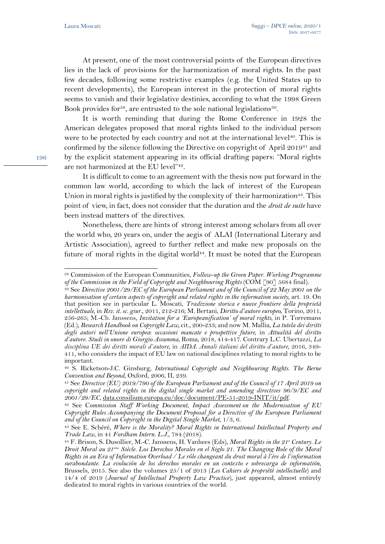At present, one of the most controversial points of the European directives lies in the lack of provisions for the harmonization of moral rights. In the past few decades, following some restrictive examples (e.g. the United States up to recent developments), the European interest in the protection of moral rights seems to vanish and their legislative destinies, according to what the 1998 Green Book provides for<sup>38</sup>, are entrusted to the sole national legislations<sup>39</sup>.

It is worth reminding that during the Rome Conference in 1928 the American delegates proposed that moral rights linked to the individual person were to be protected by each country and not at the international level<sup>40</sup>. This is confirmed by the silence following the Directive on copyright of April 201941 and by the explicit statement appearing in its official drafting papers: "Moral rights are not harmonized at the EU level"42.

It is difficult to come to an agreement with the thesis now put forward in the common law world, according to which the lack of interest of the European Union in moral rights is justified by the complexity of their harmonization<sup>43</sup>. This point of view, in fact, does not consider that the duration and the *droit de suite* have been instead matters of the directives.

Nonetheless, there are hints of strong interest among scholars from all over the world who, 20 years on, under the aegis of ALAI (International Literary and Artistic Association), agreed to further reflect and make new proposals on the future of moral rights in the digital world<sup>44</sup>. It must be noted that the European

<sup>&</sup>lt;sup>38</sup> Commission of the European Communities, *Follow-up the Green Paper. Working Programme* of the Commission in the Field of Copyright and Neighbouring Rights (COM [90] 5684 final).

<sup>&</sup>lt;sup>39</sup> See *Directive 2001/29/EC of the European Parliament and of the Council of 22 May 2001 on the harmonisation of certain aspects of copyright and related rights in the information society*, art. 19. On that position see in particular L. Moscati, *Tradizione storica e nuove frontiere della proprietà intellettuale,* in *Riv. it. sc. giur.*, 2011, 212-216; M. Bertani, *Diritto d'autore europeo,* Torino, 2011, 256-265; M.-Ch. Janssens, *Invitation for a 'Europeanification' of moral rights*, in P. Torremans (Ed.), *Research Handbook on Copyright Law*, cit., 200-233; and now M. Mallia, *La tutela dei diritti degli autori nell'Unione europea*: *occasioni mancate e prospettive future*, in *Attualità del diritto d'autore. Studi in onore di Giorgio Assumma*, Roma, 2018, 414-417. Contrary L.C. Ubertazzi, *La disciplina UE dei diritti morali d'autore*, in *AIDA. Annali italiani del diritto d'autore*, 2016, 349- 411, who considers the impact of EU law on national disciplines relating to moral rights to be important.

<sup>40</sup> S. Ricketson-J.C. Ginsburg, *International Copyright and Neighbouring Rights. The Berne Convention and Beyond*, Oxford, 2006, II, 239.

<sup>41</sup> See *Directive (EU) 2019/790 of the European Parliament and of the Council of 17 April 2019 on copyright and related rights in the digital single market and amending directives 96/9/EC and 2001/29/EC*, data.consilium.europa.eu/doc/document/PE-51-2019-INIT/it/pdf.

<sup>42</sup> See C*ommission Staff Working Document*, *Impact Assessment on the Modernisation of EU Copyright Rules Accompanying the Document Proposal for a Directive of the European Parliament* 

*and of the Council on Copyright in the Digital Single Market*, 1/3, 6. 43 See E. Schéré, *Where is the Morality? Moral Rights in International Intellectual Property and* 

*Trade Law*, in 41 *Fordham Intern. L.J.*, 784 (2018). 44 F. Brison, S. Dusollier, M.-C. Janssens, H. Vanhees (Eds), *Moral Rights in the 21st Century. Le Droit Moral au 21ième Siècle. Los Derechos Morales en el Siglo 21. The Changing Role of the Moral Rights in an Era of Information Overload / Le rôle changeant du droit moral à l'ère de l'information surabondante. La evolución de los derechos morales en un contexto e sobrecarga de informatión*, Brussels, 2015. See also the volumes 25/1 of 2013 (*Les Cahiers de propriété intellectuelle*) and 14/4 of 2019 (*Journal of Intellectual Property Law Practice*), just appeared, almost entirely dedicated to moral rights in various countries of the world.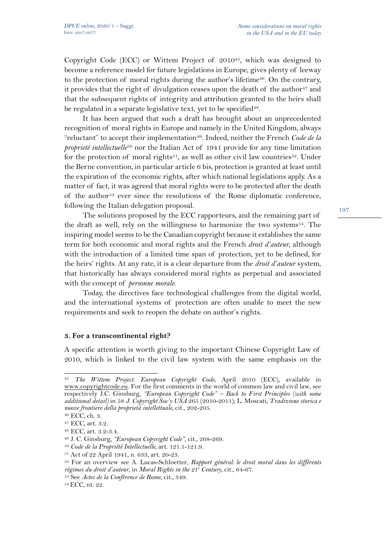Copyright Code (ECC) or Wittem Project of 2010<sup>45</sup>, which was designed to become a reference model for future legislations in Europe, gives plenty of leeway to the protection of moral rights during the author's lifetime<sup>46</sup>. On the contrary, it provides that the right of divulgation ceases upon the death of the author<sup>47</sup> and that the subsequent rights of integrity and attribution granted to the heirs shall be regulated in a separate legislative text, yet to be specified<sup>48</sup>.

It has been argued that such a draft has brought about an unprecedented recognition of moral rights in Europe and namely in the United Kingdom, always "reluctant" to accept their implementation<sup>49</sup>. Indeed, neither the French *Code de la proprieté intellectuelle*<sup>50</sup> nor the Italian Act of 1941 provide for any time limitation for the protection of moral rights<sup>51</sup>, as well as other civil law countries<sup>52</sup>. Under the Berne convention, in particular article 6 bis, protection is granted at least until the expiration of the economic rights, after which national legislations apply. As a matter of fact, it was agreed that moral rights were to be protected after the death of the author<sup>53</sup> ever since the resolutions of the Rome diplomatic conference, following the Italian delegation proposal.

The solutions proposed by the ECC rapporteurs, and the remaining part of the draft as well, rely on the willingness to harmonize the two systems<sup>54</sup>. The inspiring model seems to be the Canadian copyright because it establishes the same term for both economic and moral rights and the French *droit d'auteur*, although with the introduction of a limited time span of protection, yet to be defined, for the heirs' rights. At any rate, it is a clear departure from the *droit d'auteur* system, that historically has always considered moral rights as perpetual and associated with the concept of *personne morale*.

Today, the directives face technological challenges from the digital world, and the international systems of protection are often unable to meet the new requirements and seek to reopen the debate on author's rights.

## **3. For a transcontinental right?**

A specific attention is worth giving to the important Chinese Copyright Law of 2010, which is linked to the civil law system with the same emphasis on the

<sup>45</sup> *The Wittem Project. European Copyright Code,* April 2010 (ECC), available in www.copyrightcode.eu. For the first comments in the world of common law and civil law, see respectively J.C. Ginsburg*, "European Copyright Code" – Back to First Principles (with some additional detail)* in 58 *J. Copyright Soc'y USA* 265 (2010-2011); L. Moscati, *Tradizione storica e nuove frontiere della proprietà intellettuale*, cit., 202-205. 46 ECC, ch. 3. 47 ECC, art. 3.2.

<sup>48</sup> ECC*,* art. 3.2-3.4. 49 J. C. Ginsburg*, "European Copyright Code"*, cit., 268-269. 50 *Code de la Propriété Intellectuelle,* art. 121.1-121.9. 51 Act of 22 April 1941, n. 633, art. 20-23.

<sup>52</sup> For an overview see A. Lucas-Schloetter, *Rapport général: le droit moral dans les différents régimes du droit d'auteur*, in *Moral Rights in the 21<sup>ª</sup> Century*, cit., 64-67.<br><sup>53</sup> See *Actes de la Conférence de Rome*, cit., 349.<br><sup>54</sup> ECC, nt. 22.